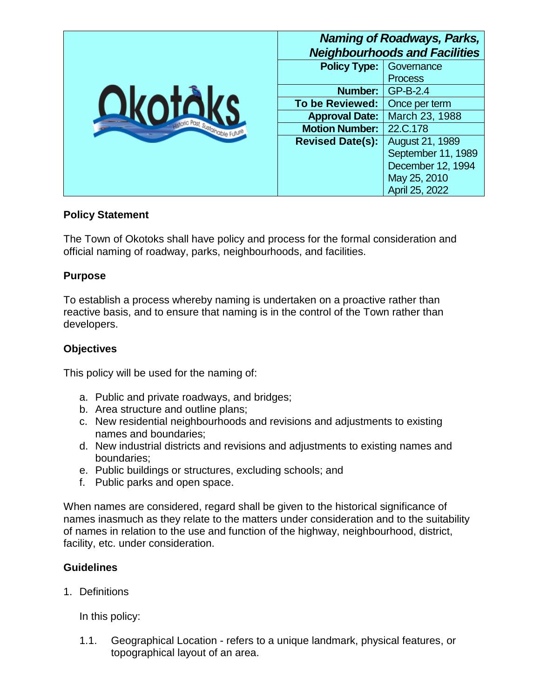|                                 |                         | <b>Naming of Roadways, Parks,</b><br><b>Neighbourhoods and Facilities</b> |
|---------------------------------|-------------------------|---------------------------------------------------------------------------|
|                                 | <b>Policy Type:</b>     | Governance                                                                |
|                                 |                         | <b>Process</b>                                                            |
|                                 | Number:                 | GP-B-2.4                                                                  |
| Okotál                          | <b>To be Reviewed:</b>  | Once per term                                                             |
| storic Past, Sustainable Future | <b>Approval Date:</b>   | March 23, 1988                                                            |
|                                 | <b>Motion Number:</b>   | 22.C.178                                                                  |
|                                 | <b>Revised Date(s):</b> | August 21, 1989                                                           |
|                                 |                         | September 11, 1989                                                        |
|                                 |                         | December 12, 1994                                                         |
|                                 |                         | May 25, 2010                                                              |
|                                 |                         | April 25, 2022                                                            |

#### **Policy Statement**

The Town of Okotoks shall have policy and process for the formal consideration and official naming of roadway, parks, neighbourhoods, and facilities.

### **Purpose**

To establish a process whereby naming is undertaken on a proactive rather than reactive basis, and to ensure that naming is in the control of the Town rather than developers.

### **Objectives**

This policy will be used for the naming of:

- a. Public and private roadways, and bridges;
- b. Area structure and outline plans;
- c. New residential neighbourhoods and revisions and adjustments to existing names and boundaries;
- d. New industrial districts and revisions and adjustments to existing names and boundaries;
- e. Public buildings or structures, excluding schools; and
- f. Public parks and open space.

When names are considered, regard shall be given to the historical significance of names inasmuch as they relate to the matters under consideration and to the suitability of names in relation to the use and function of the highway, neighbourhood, district, facility, etc. under consideration.

### **Guidelines**

1. Definitions

In this policy:

1.1. Geographical Location - refers to a unique landmark, physical features, or topographical layout of an area.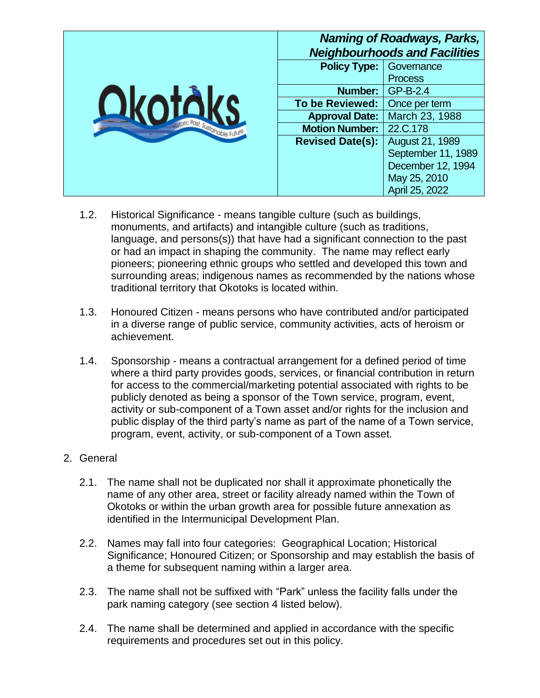|                                |                         | <b>Naming of Roadways, Parks,</b><br><b>Neighbourhoods and Facilities</b> |
|--------------------------------|-------------------------|---------------------------------------------------------------------------|
|                                | <b>Policy Type:</b>     | Governance                                                                |
|                                |                         | <b>Process</b>                                                            |
|                                | Number:                 | GP-B-2.4                                                                  |
| <b>Okotár</b>                  | <b>To be Reviewed:</b>  | Once per term                                                             |
| votic Past, Sustainable Future | <b>Approval Date:</b>   | March 23, 1988                                                            |
|                                | <b>Motion Number:</b>   | 22.C.178                                                                  |
|                                | <b>Revised Date(s):</b> | August 21, 1989                                                           |
|                                |                         | September 11, 1989                                                        |
|                                |                         | December 12, 1994                                                         |
|                                |                         | May 25, 2010                                                              |
|                                |                         | April 25, 2022                                                            |

- 1.2. Historical Significance means tangible culture (such as buildings, monuments, and artifacts) and intangible culture (such as traditions, language, and persons(s)) that have had a significant connection to the past or had an impact in shaping the community. The name may reflect early pioneers; pioneering ethnic groups who settled and developed this town and surrounding areas; indigenous names as recommended by the nations whose traditional territory that Okotoks is located within.
- 1.3. Honoured Citizen means persons who have contributed and/or participated in a diverse range of public service, community activities, acts of heroism or achievement.
- 1.4. Sponsorship means a contractual arrangement for a defined period of time where a third party provides goods, services, or financial contribution in return for access to the commercial/marketing potential associated with rights to be publicly denoted as being a sponsor of the Town service, program, event, activity or sub-component of a Town asset and/or rights for the inclusion and public display of the third party's name as part of the name of a Town service, program, event, activity, or sub-component of a Town asset.

### 2. General

- 2.1. The name shall not be duplicated nor shall it approximate phonetically the name of any other area, street or facility already named within the Town of Okotoks or within the urban growth area for possible future annexation as identified in the Intermunicipal Development Plan.
- 2.2. Names may fall into four categories: Geographical Location; Historical Significance; Honoured Citizen; or Sponsorship and may establish the basis of a theme for subsequent naming within a larger area.
- 2.3. The name shall not be suffixed with "Park" unless the facility falls under the park naming category (see section 4 listed below).
- 2.4. The name shall be determined and applied in accordance with the specific requirements and procedures set out in this policy.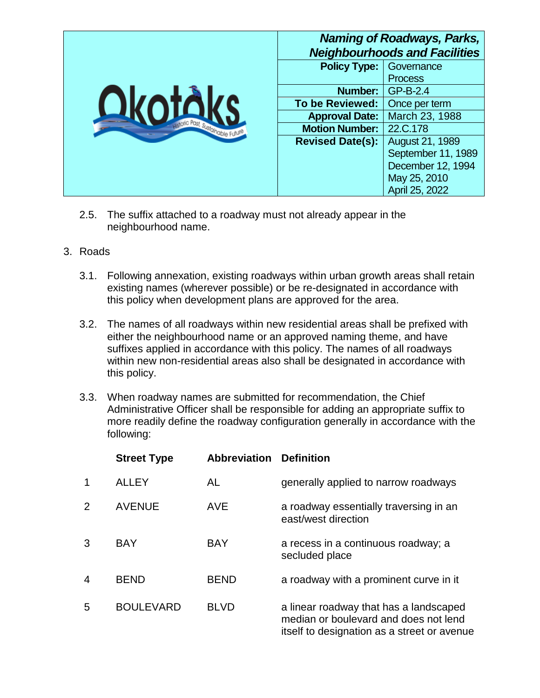|                                                  |                         | <b>Naming of Roadways, Parks,</b><br><b>Neighbourhoods and Facilities</b> |
|--------------------------------------------------|-------------------------|---------------------------------------------------------------------------|
|                                                  | <b>Policy Type:</b>     | Governance                                                                |
|                                                  |                         | <b>Process</b>                                                            |
|                                                  | Number:                 | GP-B-2.4                                                                  |
| <b>Okotál</b><br>storic Past, Sustainable Future | <b>To be Reviewed:</b>  | Once per term                                                             |
|                                                  | <b>Approval Date:</b>   | March 23, 1988                                                            |
|                                                  | <b>Motion Number:</b>   | 22.C.178                                                                  |
|                                                  | <b>Revised Date(s):</b> | <b>August 21, 1989</b>                                                    |
|                                                  |                         | September 11, 1989                                                        |
|                                                  |                         | December 12, 1994                                                         |
|                                                  |                         | May 25, 2010                                                              |
|                                                  |                         | April 25, 2022                                                            |

- 2.5. The suffix attached to a roadway must not already appear in the neighbourhood name.
- 3. Roads
	- 3.1. Following annexation, existing roadways within urban growth areas shall retain existing names (wherever possible) or be re-designated in accordance with this policy when development plans are approved for the area.
	- 3.2. The names of all roadways within new residential areas shall be prefixed with either the neighbourhood name or an approved naming theme, and have suffixes applied in accordance with this policy. The names of all roadways within new non-residential areas also shall be designated in accordance with this policy.
	- 3.3. When roadway names are submitted for recommendation, the Chief Administrative Officer shall be responsible for adding an appropriate suffix to more readily define the roadway configuration generally in accordance with the following:

|                | <b>Street Type</b> | <b>Abbreviation Definition</b> |                                                                                                                                |
|----------------|--------------------|--------------------------------|--------------------------------------------------------------------------------------------------------------------------------|
| 1              | <b>ALLEY</b>       | AL                             | generally applied to narrow roadways                                                                                           |
| 2              | <b>AVENUE</b>      | <b>AVE</b>                     | a roadway essentially traversing in an<br>east/west direction                                                                  |
| 3              | <b>BAY</b>         | <b>BAY</b>                     | a recess in a continuous roadway; a<br>secluded place                                                                          |
| $\overline{4}$ | <b>BEND</b>        | <b>BEND</b>                    | a roadway with a prominent curve in it                                                                                         |
| 5              | <b>BOULEVARD</b>   | <b>BLVD</b>                    | a linear roadway that has a landscaped<br>median or boulevard and does not lend<br>itself to designation as a street or avenue |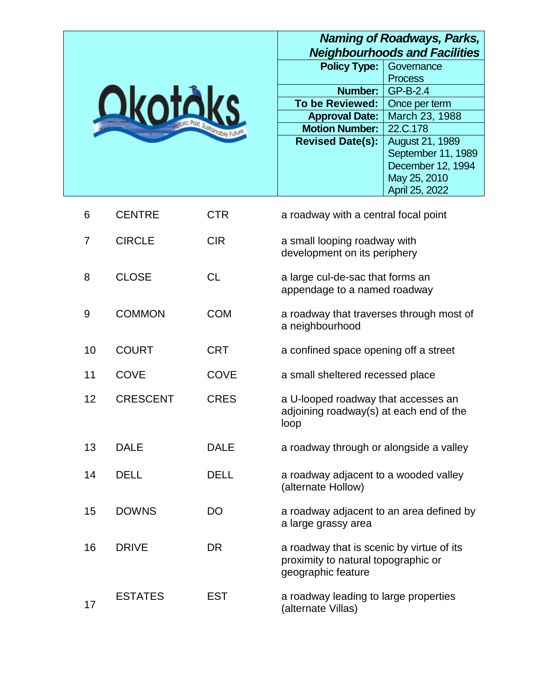# *Naming of Roadways, Parks, Neighbourhoods and Facilities*



| <b>Policy Type:</b>     | Governance             |
|-------------------------|------------------------|
|                         | <b>Process</b>         |
| Number:                 | GP-B-2.4               |
| <b>To be Reviewed:</b>  | Once per term          |
| <b>Approval Date:</b>   | March 23, 1988         |
| <b>Motion Number:</b>   | 22.C.178               |
| <b>Revised Date(s):</b> | <b>August 21, 1989</b> |
|                         | September 11, 1989     |
|                         | December 12, 1994      |
|                         | May 25, 2010           |
|                         | April 25, 2022         |

| 6  | <b>CENTRE</b>   | <b>CTR</b>  | a roadway with a central focal point                                                                   |
|----|-----------------|-------------|--------------------------------------------------------------------------------------------------------|
| 7  | <b>CIRCLE</b>   | <b>CIR</b>  | a small looping roadway with<br>development on its periphery                                           |
| 8  | <b>CLOSE</b>    | <b>CL</b>   | a large cul-de-sac that forms an<br>appendage to a named roadway                                       |
| 9  | <b>COMMON</b>   | <b>COM</b>  | a roadway that traverses through most of<br>a neighbourhood                                            |
| 10 | <b>COURT</b>    | <b>CRT</b>  | a confined space opening off a street                                                                  |
| 11 | <b>COVE</b>     | <b>COVE</b> | a small sheltered recessed place                                                                       |
| 12 | <b>CRESCENT</b> | <b>CRES</b> | a U-looped roadway that accesses an<br>adjoining roadway(s) at each end of the<br>loop                 |
| 13 | <b>DALE</b>     | <b>DALE</b> | a roadway through or alongside a valley                                                                |
| 14 | <b>DELL</b>     | <b>DELL</b> | a roadway adjacent to a wooded valley<br>(alternate Hollow)                                            |
| 15 | <b>DOWNS</b>    | <b>DO</b>   | a roadway adjacent to an area defined by<br>a large grassy area                                        |
| 16 | <b>DRIVE</b>    | <b>DR</b>   | a roadway that is scenic by virtue of its<br>proximity to natural topographic or<br>geographic feature |
| 17 | <b>ESTATES</b>  | <b>EST</b>  | a roadway leading to large properties<br>(alternate Villas)                                            |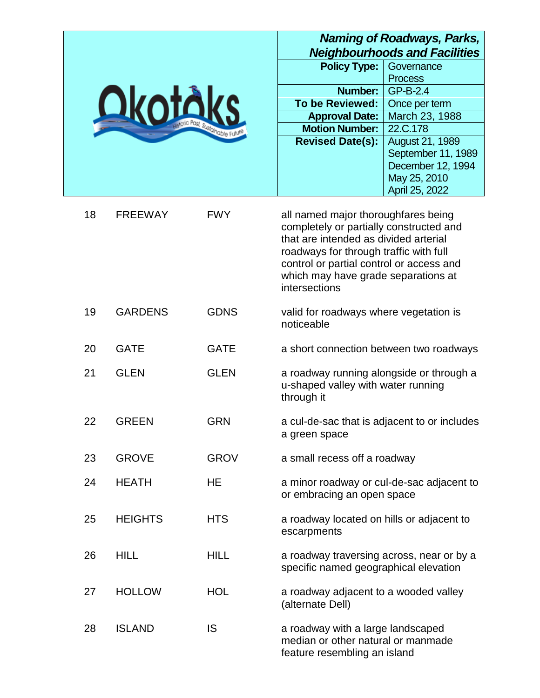|                                                    |                                     | Naming of Roadways, Parks,<br><b>Neighbourhoods and Facilities</b> |
|----------------------------------------------------|-------------------------------------|--------------------------------------------------------------------|
|                                                    | <b>Policy Type:</b>                 | Governance                                                         |
|                                                    |                                     | <b>Process</b>                                                     |
|                                                    | <b>Number:</b>                      | GP-B-2.4                                                           |
|                                                    | <b>To be Reviewed:</b>              | Once per term                                                      |
| <b>Okotáks</b><br>estoric Past, Sustainable Future | <b>Approval Date:</b>               | March 23, 1988                                                     |
|                                                    | <b>Motion Number:</b>               | 22.C.178                                                           |
|                                                    | <b>Revised Date(s):</b>             | August 21, 1989                                                    |
|                                                    |                                     | September 11, 1989                                                 |
|                                                    |                                     | December 12, 1994                                                  |
|                                                    |                                     | May 25, 2010                                                       |
|                                                    |                                     | April 25, 2022                                                     |
| 1 Q<br>CDCCWAV<br>$\Gamma M N$                     | all named major thereughfares boing |                                                                    |

| Ίŏ | FREEWAY        | <b>FVV Y</b> | all named major thoroughfares being<br>completely or partially constructed and<br>that are intended as divided arterial<br>roadways for through traffic with full<br>control or partial control or access and<br>which may have grade separations at<br>intersections |
|----|----------------|--------------|-----------------------------------------------------------------------------------------------------------------------------------------------------------------------------------------------------------------------------------------------------------------------|
| 19 | <b>GARDENS</b> | <b>GDNS</b>  | valid for roadways where vegetation is<br>noticeable                                                                                                                                                                                                                  |
| 20 | <b>GATE</b>    | <b>GATE</b>  | a short connection between two roadways                                                                                                                                                                                                                               |
| 21 | <b>GLEN</b>    | <b>GLEN</b>  | a roadway running alongside or through a<br>u-shaped valley with water running<br>through it                                                                                                                                                                          |
| 22 | <b>GREEN</b>   | <b>GRN</b>   | a cul-de-sac that is adjacent to or includes<br>a green space                                                                                                                                                                                                         |
| 23 | <b>GROVE</b>   | <b>GROV</b>  | a small recess off a roadway                                                                                                                                                                                                                                          |
| 24 | <b>HEATH</b>   | <b>HE</b>    | a minor roadway or cul-de-sac adjacent to<br>or embracing an open space                                                                                                                                                                                               |
| 25 | <b>HEIGHTS</b> | <b>HTS</b>   | a roadway located on hills or adjacent to<br>escarpments                                                                                                                                                                                                              |
| 26 | <b>HILL</b>    | <b>HILL</b>  | a roadway traversing across, near or by a<br>specific named geographical elevation                                                                                                                                                                                    |
| 27 | <b>HOLLOW</b>  | <b>HOL</b>   | a roadway adjacent to a wooded valley<br>(alternate Dell)                                                                                                                                                                                                             |
| 28 | <b>ISLAND</b>  | <b>IS</b>    | a roadway with a large landscaped<br>median or other natural or manmade<br>feature resembling an island                                                                                                                                                               |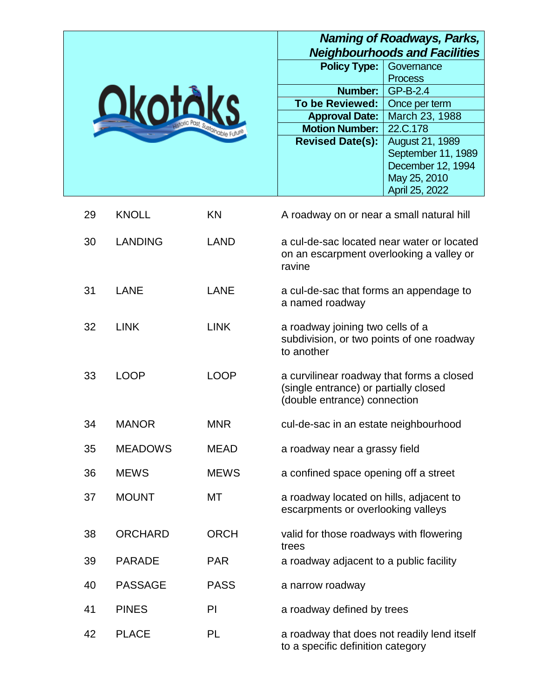# *Naming of Roadways, Parks, Neighbourhoods and Facilities*



| ngiyi ilod<br>vus anu ravni |                        |  |
|-----------------------------|------------------------|--|
| <b>Policy Type:</b>         | Governance             |  |
|                             | <b>Process</b>         |  |
| Number:                     | GP-B-2.4               |  |
| <b>To be Reviewed:</b>      | Once per term          |  |
| <b>Approval Date:</b>       | March 23, 1988         |  |
| <b>Motion Number:</b>       | 22.C.178               |  |
| <b>Revised Date(s):</b>     | <b>August 21, 1989</b> |  |
|                             | September 11, 1989     |  |
|                             | December 12, 1994      |  |
|                             | May 25, 2010           |  |
|                             | April 25, 2022         |  |

| 29 | <b>KNOLL</b>   | KN          | A roadway on or near a small natural hill                                                                          |
|----|----------------|-------------|--------------------------------------------------------------------------------------------------------------------|
| 30 | <b>LANDING</b> | <b>LAND</b> | a cul-de-sac located near water or located<br>on an escarpment overlooking a valley or<br>ravine                   |
| 31 | <b>LANE</b>    | <b>LANE</b> | a cul-de-sac that forms an appendage to<br>a named roadway                                                         |
| 32 | <b>LINK</b>    | <b>LINK</b> | a roadway joining two cells of a<br>subdivision, or two points of one roadway<br>to another                        |
| 33 | <b>LOOP</b>    | <b>LOOP</b> | a curvilinear roadway that forms a closed<br>(single entrance) or partially closed<br>(double entrance) connection |
| 34 | <b>MANOR</b>   | <b>MNR</b>  | cul-de-sac in an estate neighbourhood                                                                              |
| 35 | <b>MEADOWS</b> | <b>MEAD</b> | a roadway near a grassy field                                                                                      |
| 36 | <b>MEWS</b>    | <b>MEWS</b> | a confined space opening off a street                                                                              |
| 37 | <b>MOUNT</b>   | <b>MT</b>   | a roadway located on hills, adjacent to<br>escarpments or overlooking valleys                                      |
| 38 | <b>ORCHARD</b> | <b>ORCH</b> | valid for those roadways with flowering<br>trees                                                                   |
| 39 | <b>PARADE</b>  | <b>PAR</b>  | a roadway adjacent to a public facility                                                                            |
| 40 | <b>PASSAGE</b> | <b>PASS</b> | a narrow roadway                                                                                                   |
| 41 | <b>PINES</b>   | PI          | a roadway defined by trees                                                                                         |
| 42 | <b>PLACE</b>   | PL          | a roadway that does not readily lend itself<br>to a specific definition category                                   |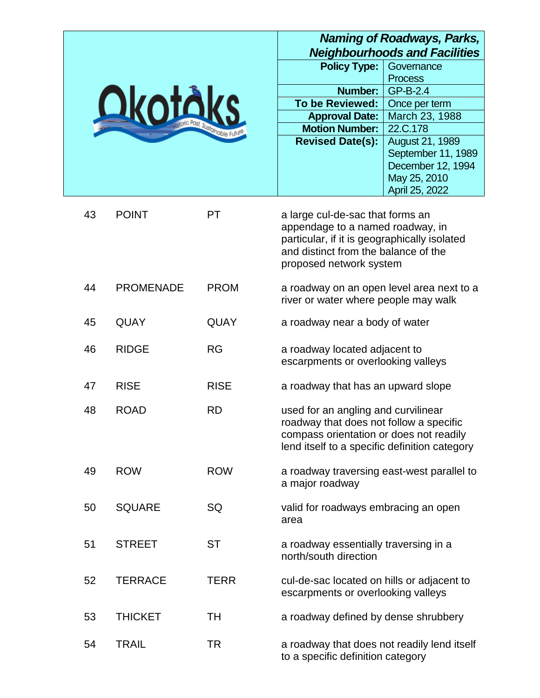|                                 |                                  | Naming of Roadways, Parks,<br><b>Neighbourhoods and Facilities</b> |
|---------------------------------|----------------------------------|--------------------------------------------------------------------|
|                                 | <b>Policy Type:</b>              | Governance                                                         |
|                                 |                                  | <b>Process</b>                                                     |
|                                 | Number:                          | GP-B-2.4                                                           |
| <b>Okoták</b>                   | <b>To be Reviewed:</b>           | Once per term                                                      |
|                                 | <b>Approval Date:</b>            | March 23, 1988                                                     |
| storic Past, Sustainable Future | <b>Motion Number:</b>            | 22.C.178                                                           |
|                                 | <b>Revised Date(s):</b>          | August 21, 1989                                                    |
|                                 |                                  | September 11, 1989                                                 |
|                                 |                                  | December 12, 1994                                                  |
|                                 |                                  | May 25, 2010                                                       |
|                                 |                                  | April 25, 2022                                                     |
| 43<br><b>POINT</b>              | a large cul-de-sac that forms an |                                                                    |
|                                 |                                  |                                                                    |

|    |                  |             | appendage to a named roadway, in<br>particular, if it is geographically isolated<br>and distinct from the balance of the<br>proposed network system                        |
|----|------------------|-------------|----------------------------------------------------------------------------------------------------------------------------------------------------------------------------|
| 44 | <b>PROMENADE</b> | <b>PROM</b> | a roadway on an open level area next to a<br>river or water where people may walk                                                                                          |
| 45 | <b>QUAY</b>      | <b>QUAY</b> | a roadway near a body of water                                                                                                                                             |
| 46 | <b>RIDGE</b>     | <b>RG</b>   | a roadway located adjacent to<br>escarpments or overlooking valleys                                                                                                        |
| 47 | <b>RISE</b>      | <b>RISE</b> | a roadway that has an upward slope                                                                                                                                         |
| 48 | <b>ROAD</b>      | <b>RD</b>   | used for an angling and curvilinear<br>roadway that does not follow a specific<br>compass orientation or does not readily<br>lend itself to a specific definition category |
| 49 | <b>ROW</b>       | <b>ROW</b>  | a roadway traversing east-west parallel to<br>a major roadway                                                                                                              |
| 50 | <b>SQUARE</b>    | SQ          | valid for roadways embracing an open<br>area                                                                                                                               |
| 51 | <b>STREET</b>    | <b>ST</b>   | a roadway essentially traversing in a<br>north/south direction                                                                                                             |
| 52 | <b>TERRACE</b>   | <b>TERR</b> | cul-de-sac located on hills or adjacent to<br>escarpments or overlooking valleys                                                                                           |
| 53 | <b>THICKET</b>   | <b>TH</b>   | a roadway defined by dense shrubbery                                                                                                                                       |
| 54 | <b>TRAIL</b>     | <b>TR</b>   | a roadway that does not readily lend itself<br>to a specific definition category                                                                                           |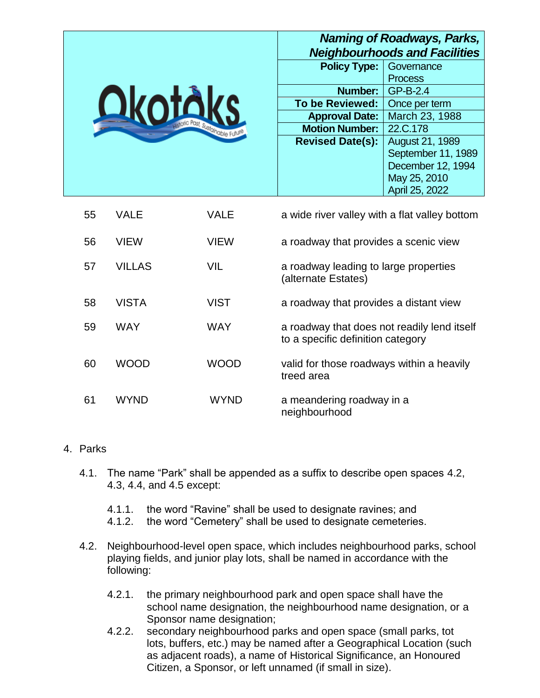| <b>Qkotåks</b><br>estoric Past, Sustainable Future |      | <b>Naming of Roadways, Parks,</b><br><b>Neighbourhoods and Facilities</b> |                    |
|----------------------------------------------------|------|---------------------------------------------------------------------------|--------------------|
|                                                    |      | <b>Policy Type:</b>                                                       | Governance         |
|                                                    |      |                                                                           | <b>Process</b>     |
|                                                    |      | Number:                                                                   | GP-B-2.4           |
|                                                    |      | <b>To be Reviewed:</b>                                                    | Once per term      |
|                                                    |      | <b>Approval Date:</b>                                                     | March 23, 1988     |
|                                                    |      | <b>Motion Number:</b>                                                     | 22.C.178           |
|                                                    |      | <b>Revised Date(s):</b>                                                   | August 21, 1989    |
|                                                    |      |                                                                           | September 11, 1989 |
|                                                    |      |                                                                           | December 12, 1994  |
|                                                    |      |                                                                           | May 25, 2010       |
|                                                    |      |                                                                           | April 25, 2022     |
| 55<br>VALE                                         | VALE | a wide river valley with a flat valley bottom                             |                    |

| 56 | <b>VIEW</b>   | <b>VIEW</b> | a roadway that provides a scenic view                                            |
|----|---------------|-------------|----------------------------------------------------------------------------------|
| 57 | <b>VILLAS</b> | VIL         | a roadway leading to large properties<br>(alternate Estates)                     |
| 58 | <b>VISTA</b>  | <b>VIST</b> | a roadway that provides a distant view                                           |
| 59 | <b>WAY</b>    | <b>WAY</b>  | a roadway that does not readily lend itself<br>to a specific definition category |
| 60 | <b>WOOD</b>   | <b>WOOD</b> | valid for those roadways within a heavily<br>treed area                          |
| 61 | WYND          | WYND        | a meandering roadway in a<br>neighbourhood                                       |

#### 4. Parks

- 4.1. The name "Park" shall be appended as a suffix to describe open spaces 4.2, 4.3, 4.4, and 4.5 except:
	- 4.1.1. the word "Ravine" shall be used to designate ravines; and
	- 4.1.2. the word "Cemetery" shall be used to designate cemeteries.
- 4.2. Neighbourhood-level open space, which includes neighbourhood parks, school playing fields, and junior play lots, shall be named in accordance with the following:
	- 4.2.1. the primary neighbourhood park and open space shall have the school name designation, the neighbourhood name designation, or a Sponsor name designation;
	- 4.2.2. secondary neighbourhood parks and open space (small parks, tot lots, buffers, etc.) may be named after a Geographical Location (such as adjacent roads), a name of Historical Significance, an Honoured Citizen, a Sponsor, or left unnamed (if small in size).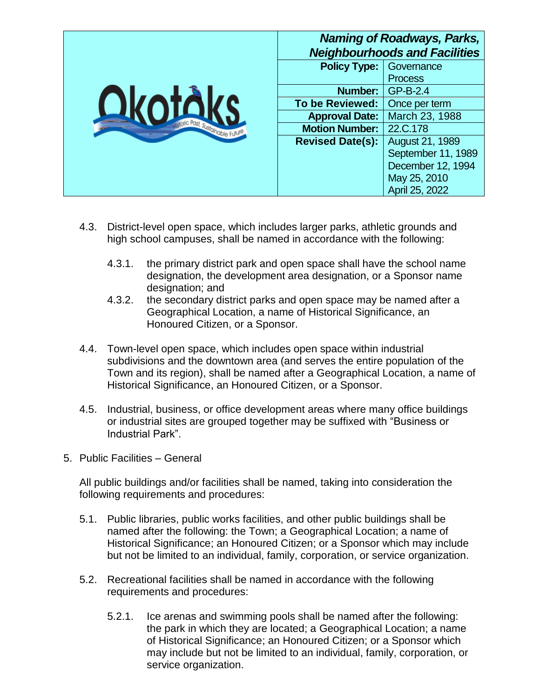| <b>Okotál</b><br>votic Past, Sustainable Future | <b>Naming of Roadways, Parks,</b><br><b>Neighbourhoods and Facilities</b> |                    |
|-------------------------------------------------|---------------------------------------------------------------------------|--------------------|
|                                                 | <b>Policy Type:</b>                                                       | Governance         |
|                                                 |                                                                           | <b>Process</b>     |
|                                                 | <b>Number:</b>                                                            | GP-B-2.4           |
|                                                 | <b>To be Reviewed:</b>                                                    | Once per term      |
|                                                 | <b>Approval Date:</b>                                                     | March 23, 1988     |
|                                                 | <b>Motion Number:</b>                                                     | 22.C.178           |
|                                                 | <b>Revised Date(s):</b>                                                   | August 21, 1989    |
|                                                 |                                                                           | September 11, 1989 |
|                                                 |                                                                           | December 12, 1994  |
|                                                 |                                                                           | May 25, 2010       |
|                                                 |                                                                           | April 25, 2022     |

- 4.3. District-level open space, which includes larger parks, athletic grounds and high school campuses, shall be named in accordance with the following:
	- 4.3.1. the primary district park and open space shall have the school name designation, the development area designation, or a Sponsor name designation; and
	- 4.3.2. the secondary district parks and open space may be named after a Geographical Location, a name of Historical Significance, an Honoured Citizen, or a Sponsor.
- 4.4. Town-level open space, which includes open space within industrial subdivisions and the downtown area (and serves the entire population of the Town and its region), shall be named after a Geographical Location, a name of Historical Significance, an Honoured Citizen, or a Sponsor.
- 4.5. Industrial, business, or office development areas where many office buildings or industrial sites are grouped together may be suffixed with "Business or Industrial Park".
- 5. Public Facilities General

All public buildings and/or facilities shall be named, taking into consideration the following requirements and procedures:

- 5.1. Public libraries, public works facilities, and other public buildings shall be named after the following: the Town; a Geographical Location; a name of Historical Significance; an Honoured Citizen; or a Sponsor which may include but not be limited to an individual, family, corporation, or service organization.
- 5.2. Recreational facilities shall be named in accordance with the following requirements and procedures:
	- 5.2.1. Ice arenas and swimming pools shall be named after the following: the park in which they are located; a Geographical Location; a name of Historical Significance; an Honoured Citizen; or a Sponsor which may include but not be limited to an individual, family, corporation, or service organization.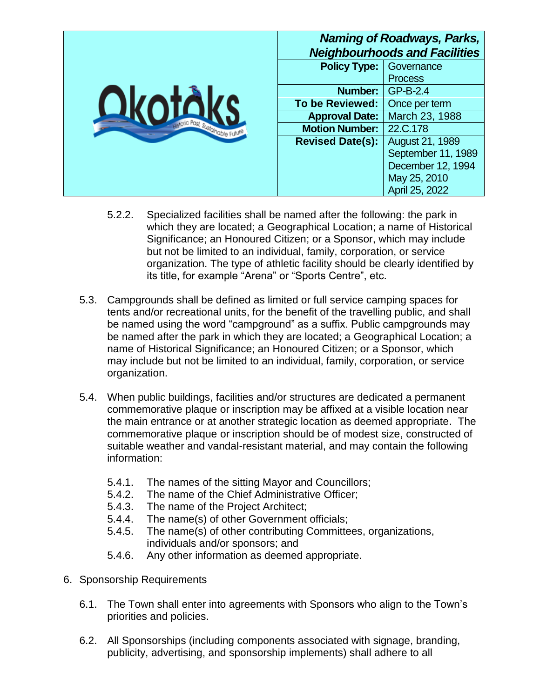|                                | <b>Naming of Roadways, Parks,</b><br><b>Neighbourhoods and Facilities</b> |                    |
|--------------------------------|---------------------------------------------------------------------------|--------------------|
| votic Past, Sustainable Future | <b>Policy Type:</b>                                                       | Governance         |
|                                |                                                                           | <b>Process</b>     |
|                                | <b>Number:</b>                                                            | GP-B-2.4           |
|                                | <b>To be Reviewed:</b>                                                    | Once per term      |
|                                | <b>Approval Date:</b>                                                     | March 23, 1988     |
|                                | <b>Motion Number:</b>                                                     | 22.C.178           |
|                                | <b>Revised Date(s):</b>                                                   | August 21, 1989    |
|                                |                                                                           | September 11, 1989 |
|                                |                                                                           | December 12, 1994  |
|                                |                                                                           | May 25, 2010       |
|                                |                                                                           | April 25, 2022     |

- 5.2.2. Specialized facilities shall be named after the following: the park in which they are located; a Geographical Location; a name of Historical Significance; an Honoured Citizen; or a Sponsor, which may include but not be limited to an individual, family, corporation, or service organization. The type of athletic facility should be clearly identified by its title, for example "Arena" or "Sports Centre", etc.
- 5.3. Campgrounds shall be defined as limited or full service camping spaces for tents and/or recreational units, for the benefit of the travelling public, and shall be named using the word "campground" as a suffix. Public campgrounds may be named after the park in which they are located; a Geographical Location; a name of Historical Significance; an Honoured Citizen; or a Sponsor, which may include but not be limited to an individual, family, corporation, or service organization.
- 5.4. When public buildings, facilities and/or structures are dedicated a permanent commemorative plaque or inscription may be affixed at a visible location near the main entrance or at another strategic location as deemed appropriate. The commemorative plaque or inscription should be of modest size, constructed of suitable weather and vandal-resistant material, and may contain the following information:
	- 5.4.1. The names of the sitting Mayor and Councillors;
	- 5.4.2. The name of the Chief Administrative Officer;
	- 5.4.3. The name of the Project Architect;
	- 5.4.4. The name(s) of other Government officials;
	- 5.4.5. The name(s) of other contributing Committees, organizations, individuals and/or sponsors; and
	- 5.4.6. Any other information as deemed appropriate.
- 6. Sponsorship Requirements
	- 6.1. The Town shall enter into agreements with Sponsors who align to the Town's priorities and policies.
	- 6.2. All Sponsorships (including components associated with signage, branding, publicity, advertising, and sponsorship implements) shall adhere to all